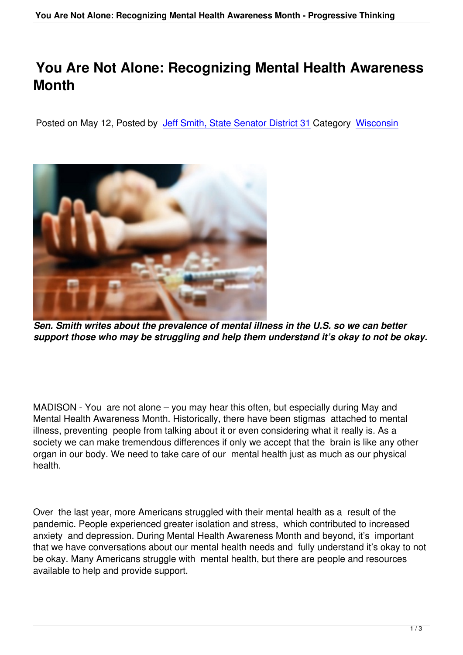## **You Are Not Alone: Recognizing Mental Health Awareness Month**

Posted on May 12, Posted by Jeff Smith, State Senator District 31 Category Wisconsin



*Sen. Smith writes about the prevalence of mental illness in the U.S. so we can better support those who may be struggling and help them understand it's okay to not be okay.*

MADISON - You are not alone – you may hear this often, but especially during May and Mental Health Awareness Month. Historically, there have been stigmas attached to mental illness, preventing people from talking about it or even considering what it really is. As a society we can make tremendous differences if only we accept that the brain is like any other organ in our body. We need to take care of our mental health just as much as our physical health.

Over the last year, more Americans struggled with their mental health as a result of the pandemic. People experienced greater isolation and stress, which contributed to increased anxiety and depression. During Mental Health Awareness Month and beyond, it's important that we have conversations about our mental health needs and fully understand it's okay to not be okay. Many Americans struggle with mental health, but there are people and resources available to help and provide support.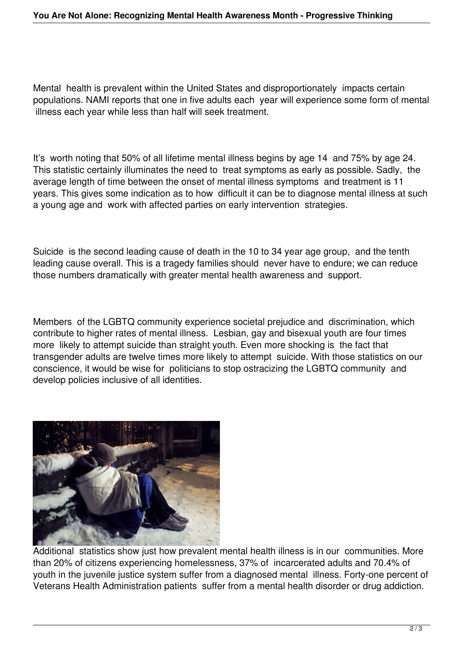Mental health is prevalent within the United States and disproportionately impacts certain populations. NAMI reports that one in five adults each year will experience some form of mental illness each year while less than half will seek treatment.

It's worth noting that 50% of all lifetime mental illness begins by age 14 and 75% by age 24. This statistic certainly illuminates the need to treat symptoms as early as possible. Sadly, the average length of time between the onset of mental illness symptoms and treatment is 11 years. This gives some indication as to how difficult it can be to diagnose mental illness at such a young age and work with affected parties on early intervention strategies.

Suicide is the second leading cause of death in the 10 to 34 year age group, and the tenth leading cause overall. This is a tragedy families should never have to endure; we can reduce those numbers dramatically with greater mental health awareness and support.

Members of the LGBTQ community experience societal prejudice and discrimination, which contribute to higher rates of mental illness. Lesbian, gay and bisexual youth are four times more likely to attempt suicide than straight youth. Even more shocking is the fact that transgender adults are twelve times more likely to attempt suicide. With those statistics on our conscience, it would be wise for politicians to stop ostracizing the LGBTQ community and develop policies inclusive of all identities.



Additional statistics show just how prevalent mental health illness is in our communities. More than 20% of citizens experiencing homelessness, 37% of incarcerated adults and 70.4% of youth in the juvenile justice system suffer from a diagnosed mental illness. Forty-one percent of Veterans Health Administration patients suffer from a mental health disorder or drug addiction.